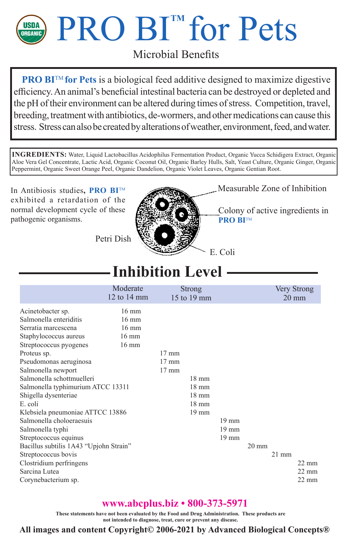

# **PRO BI<sup>''</sup> for Pets**

Microbial Benefits

**PRO BI™** for Pets is a biological feed additive designed to maximize digestive efficiency. An animal's beneficial intestinal bacteria can be destroyed or depleted and the pH of their environment can be altered during times of stress. Competition, travel, breeding, treatment with antibiotics, de-wormers, and other medications can cause this stress. Stress can also be created by alterations of weather, environment, feed, and water.

**INGREDIENTS:** Water, Liquid Lactobacillus Acidophilus Fermentation Product, Organic Yucca Schidigera Extract, Organic Aloe Vera Gel Concentrate, Lactic Acid, Organic Coconut Oil, Organic Barley Hulls, Salt, Yeast Culture, Organic Ginger, Organic Peppermint, Organic Sweet Orange Peel, Organic Dandelion, Organic Violet Leaves, Organic Gentian Root.

In Antibiosis studies**, PRO BI**TM exhibited a retardation of the normal development cycle of these pathogenic organisms.



Measurable Zone of Inhibition

Colony of active ingredients in **PRO BITM** 

Petri Dish

### **Inhibition Level**

|                                        | Moderate<br>12 to $14 \text{ mm}$ | Strong<br>15 to 19 mm |                 |       |                 |         | Very Strong<br>$20 \text{ mm}$ |
|----------------------------------------|-----------------------------------|-----------------------|-----------------|-------|-----------------|---------|--------------------------------|
| Acinetobacter sp.                      | $16 \text{ mm}$                   |                       |                 |       |                 |         |                                |
| Salmonella enteriditis                 | $16 \text{ mm}$                   |                       |                 |       |                 |         |                                |
| Serratia marcescena                    | $16 \text{ mm}$                   |                       |                 |       |                 |         |                                |
| Staphylococcus aureus                  | $16 \text{ mm}$                   |                       |                 |       |                 |         |                                |
| Streptococcus pyogenes                 | $16 \text{ mm}$                   |                       |                 |       |                 |         |                                |
| Proteus sp.                            |                                   | $17 \text{ mm}$       |                 |       |                 |         |                                |
| Pseudomonas aeruginosa                 |                                   | $17 \text{ mm}$       |                 |       |                 |         |                                |
| Salmonella newport                     |                                   | $17 \text{ mm}$       |                 |       |                 |         |                                |
| Salmonella schottmuelleri              |                                   |                       | $18 \text{ mm}$ |       |                 |         |                                |
| Salmonella typhimurium ATCC 13311      |                                   |                       | $18 \text{ mm}$ |       |                 |         |                                |
| Shigella dysenteriae                   |                                   |                       | $18 \text{ mm}$ |       |                 |         |                                |
| E. coli                                |                                   |                       | $18 \text{ mm}$ |       |                 |         |                                |
| Klebsiela pneumoniae ATTCC 13886       |                                   |                       | 19 mm           |       |                 |         |                                |
| Salmonella choloeraesuis               |                                   |                       |                 | 19 mm |                 |         |                                |
| Salmonella typhi                       |                                   |                       |                 | 19 mm |                 |         |                                |
| Streptococcus equinus                  |                                   |                       |                 | 19 mm |                 |         |                                |
| Bacillus subtilis 1A43 "Upjohn Strain" |                                   |                       |                 |       | $20 \text{ mm}$ |         |                                |
| Streptococcus bovis                    |                                   |                       |                 |       |                 | $21$ mm |                                |
| Clostridium perfringens                |                                   |                       |                 |       |                 |         | $22 \text{ mm}$                |
| Sarcina Lutea                          |                                   |                       |                 |       |                 |         | $22 \text{ mm}$                |
| Corynebacterium sp.                    |                                   |                       |                 |       |                 |         | $22 \text{ mm}$                |

#### **www.abcplus.biz • 800-373-5971**

**These statements have not been evaluated by the Food and Drug Administration. These products are not intended to diagnose, treat, cure or prevent any disease.**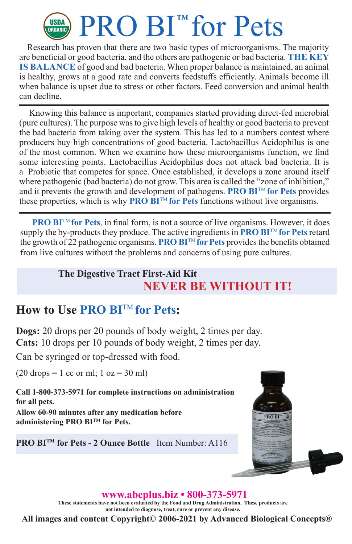## USDA PRO BI<sup>TM</sup> for Pets

Research has proven that there are two basic types of microorganisms. The majority are beneficial or good bacteria, and the others are pathogenic or bad bacteria. **THE KEY IS BALANCE** of good and bad bacteria. When proper balance is maintained, an animal is healthy, grows at a good rate and converts feedstuffs efficiently. Animals become ill when balance is upset due to stress or other factors. Feed conversion and animal health can decline.

Knowing this balance is important, companies started providing direct-fed microbial (pure cultures). The purpose was to give high levels of healthy or good bacteria to prevent the bad bacteria from taking over the system. This has led to a numbers contest where producers buy high concentrations of good bacteria. Lactobacillus Acidophilus is one of the most common. When we examine how these microorganisms function, we find some interesting points. Lactobacillus Acidophilus does not attack bad bacteria. It is a Probiotic that competes for space. Once established, it develops a zone around itself where pathogenic (bad bacteria) do not grow. This area is called the "zone of inhibition," and it prevents the growth and development of pathogens. **PRO BI™ for Pets** provides these properties, which is why **PRO BI**TM **for Pets** functions without live organisms.

**PRO BI<sup>™</sup> for Pets**, in final form, is not a source of live organisms. However, it does supply the by-products they produce. The active ingredients in **PRO BI**<sup>TM</sup> for Pets retard the growth of 22 pathogenic organisms. **PRO BI**TM **for Pets** provides the benefits obtained from live cultures without the problems and concerns of using pure cultures.

#### **The Digestive Tract First-Aid Kit NEVER BE WITHOUT IT!**

#### **How to Use PRO BI**TM **for Pets:**

**Dogs:** 20 drops per 20 pounds of body weight, 2 times per day. **Cats:** 10 drops per 10 pounds of body weight, 2 times per day.

Can be syringed or top-dressed with food.

 $(20$  drops = 1 cc or ml; 1 oz = 30 ml)

**Call 1-800-373-5971 for complete instructions on administration for all pets.**

**Allow 60-90 minutes after any medication before administering PRO BITM for Pets.**

**PRO BITM for Pets - 2 Ounce Bottle** Item Number: A116



#### **www.abcplus.biz • 800-373-5971**

**These statements have not been evaluated by the Food and Drug Administration. These products are not intended to diagnose, treat, cure or prevent any disease.**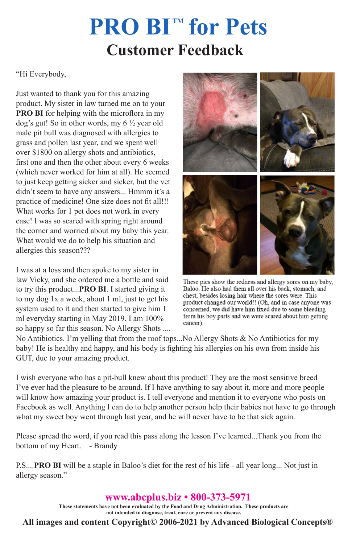## **Customer Feedback PRO BI™ for Pets**

"Hi Everybody,

Just wanted to thank you for this amazing product. My sister in law turned me on to your **PRO BI** for helping with the microflora in my dog's gut! So in other words, my 6 ½ year old male pit bull was diagnosed with allergies to grass and pollen last year, and we spent well over \$1800 on allergy shots and antibiotics, first one and then the other about every 6 weeks (which never worked for him at all). He seemed to just keep getting sicker and sicker, but the vet didn't seem to have any answers... Hmmm it's a practice of medicine! One size does not fit all!!! What works for 1 pet does not work in every case! I was so scared with spring right around the corner and worried about my baby this year. What would we do to help his situation and allergies this season???

I was at a loss and then spoke to my sister in law Vicky, and she ordered me a bottle and said to try this product...**PRO BI**. I started giving it to my dog 1x a week, about 1 ml, just to get his system used to it and then started to give him 1 ml everyday starting in May 2019. I am 100% so happy so far this season. No Allergy Shots ....



These pics show the redness and allergy sores on my baby, Baloo. He also had them all over his back, stomach, and chest, besides losing hair where the sores were. This product changed our world!! (Oh, and in case anyone was concerned, we did have him fixed due to some bleeding from his boy parts and we were scared about him getting cancer).

No Antibiotics. I'm yelling that from the roof tops...No Allergy Shots & No Antibiotics for my baby! He is healthy and happy, and his body is fighting his allergies on his own from inside his GUT, due to your amazing product.

I wish everyone who has a pit-bull knew about this product! They are the most sensitive breed I've ever had the pleasure to be around. If I have anything to say about it, more and more people will know how amazing your product is. I tell everyone and mention it to everyone who posts on Facebook as well. Anything I can do to help another person help their babies not have to go through what my sweet boy went through last year, and he will never have to be that sick again.

Please spread the word, if you read this pass along the lesson I've learned...Thank you from the bottom of my Heart. - Brandy

P.S....**PRO BI** will be a staple in Baloo's diet for the rest of his life - all year long... Not just in allergy season."

**www.abcplus.biz • 800-373-5971**

**These statements have not been evaluated by the Food and Drug Administration. These products are not intended to diagnose, treat, cure or prevent any disease.**